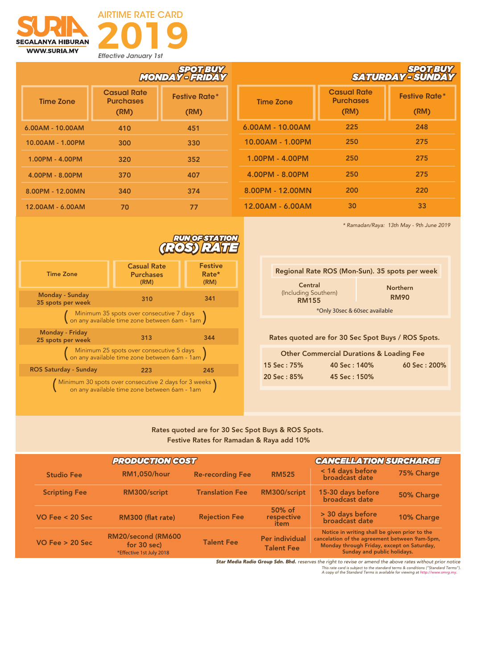



|                    | SPOTBUY<br>MONDAY - FRIDAY                     |                              |  |
|--------------------|------------------------------------------------|------------------------------|--|
| <b>Time Zone</b>   | <b>Casual Rate</b><br><b>Purchases</b><br>(RM) | <b>Festive Rate*</b><br>(RM) |  |
| $6.00AM - 10.00AM$ | 410                                            | 451                          |  |
| 10.00AM - 1.00PM   | 300                                            | 330                          |  |
| 1.00PM - 4.00PM    | 320                                            | 352                          |  |
| 4.00PM - 8.00PM    | 370                                            | 407                          |  |
| 8.00PM - 12.00MN   | 340                                            | 374                          |  |
| 12.00AM - 6.00AM   | 70                                             | 77                           |  |

|                    | <b>SPOTEUY</b><br>SATURDAY-SUNDA               |                              |  |
|--------------------|------------------------------------------------|------------------------------|--|
| <b>Time Zone</b>   | <b>Casual Rate</b><br><b>Purchases</b><br>(RM) | <b>Festive Rate*</b><br>(RM) |  |
| $6.00AM - 10.00AM$ | 225                                            | 248                          |  |
| 10.00AM - 1.00PM   | 250                                            | 275                          |  |
| 1.00PM - 4.00PM    | 250                                            | 275                          |  |
| 4.00PM - 8.00PM    | 250                                            | 275                          |  |
| 8.00PM - 12.00MN   | 200                                            | 220                          |  |
| 12.00AM - 6.00AM   | 30                                             | 33                           |  |

*\* Ramadan/Raya: 13th May - 9th June 2019*

|                                                                                                        |                                                | <b>RUNOFSTATION</b>             |  |
|--------------------------------------------------------------------------------------------------------|------------------------------------------------|---------------------------------|--|
| <b>Time Zone</b>                                                                                       | <b>Casual Rate</b><br><b>Purchases</b><br>(RM) | <b>Festive</b><br>Rate*<br>(RM) |  |
| Monday - Sunday<br>35 spots per week                                                                   | 310                                            | 341                             |  |
| (Minimum 35 spots over consecutive 7 days<br>(on any available time zone between 6am - 1am)            |                                                |                                 |  |
| <b>Monday - Friday</b><br>25 spots per week                                                            | 313                                            | 344                             |  |
| (Minimum 25 spots over consecutive 5 days<br>(on any available time zone between 6am - 1am)            |                                                |                                 |  |
| <b>ROS Saturday - Sunday</b>                                                                           | 223                                            | 245                             |  |
| (Minimum 30 spots over consecutive 2 days for 3 weeks)<br>on any available time zone between 6am - 1am |                                                |                                 |  |

| Regional Rate ROS (Mon-Sun). 35 spots per week  |                                |  |
|-------------------------------------------------|--------------------------------|--|
| Central<br>(Including Southern)<br><b>RM155</b> | <b>Northern</b><br><b>RM90</b> |  |
| *Only 30sec & 60sec available                   |                                |  |
|                                                 |                                |  |

Rates quoted are for 30 Sec Spot Buys / ROS Spots.

| <b>Other Commercial Durations &amp; Loading Fee</b> |              |                  |  |
|-----------------------------------------------------|--------------|------------------|--|
| 15 Sec: 75%                                         | 40 Sec: 140% | 60 Sec : $200\%$ |  |
| 20 Sec: 85%                                         | 45 Sec: 150% |                  |  |

## Rates quoted are for 30 Sec Spot Buys & ROS Spots. Festive Rates for Ramadan & Raya add 10%

| <b>PRODUCTION COST</b> |                                                               |                         | <b>CANCELLATION SURCHARGE</b>              |                                                                                                                                                                             |            |
|------------------------|---------------------------------------------------------------|-------------------------|--------------------------------------------|-----------------------------------------------------------------------------------------------------------------------------------------------------------------------------|------------|
| <b>Studio Fee</b>      | <b>RM1,050/hour</b>                                           | <b>Re-recording Fee</b> | <b>RM525</b>                               | < 14 days before<br>broadcast date                                                                                                                                          | 75% Charge |
| <b>Scripting Fee</b>   | RM300/script                                                  | <b>Translation Fee</b>  | RM300/script                               | 15-30 days before<br>broadcast date                                                                                                                                         | 50% Charge |
| VO Fee $<$ 20 Sec      | RM300 (flat rate)                                             | <b>Rejection Fee</b>    | 50% of<br>respective<br>item               | > 30 days before<br>broadcast date                                                                                                                                          | 10% Charge |
| VO Fee $> 20$ Sec      | RM20/second (RM600<br>for 30 sec)<br>*Effective 1st July 2018 | <b>Talent Fee</b>       | <b>Per individual</b><br><b>Talent Fee</b> | Notice in writing shall be given prior to the<br>cancelation of the agreement between 9am-5pm,<br>Monday through Friday, except on Saturday,<br>Sunday and public holidays. |            |

*Star Media Radio Group Sdn. Bhd. reserves the right to revise or amend the above rates without prior notice* 

*This rate card is subject to the standard terms & conditions ("Standard Terms"). A copy of the Standard Terms is available for viewing at http://www.smrg.my.*